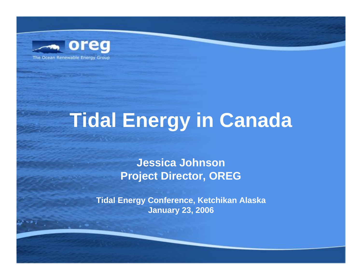

# **Tidal Energy in Canada**

#### **Jessica Johnson Project Director, OREG**

**Tidal Energy Conference, Ketchikan Alaska January 23, 2006**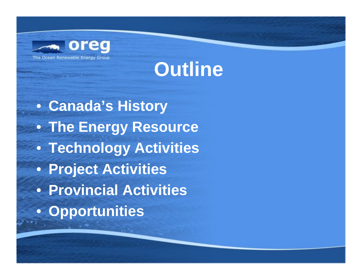



• **Canada's History** • **The Energy Resource** • **Technology Activities** • **Project Activities** • **Provincial Activities** • **Opportunities**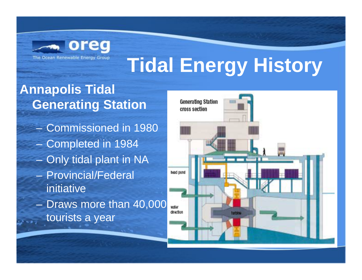

#### **Annapolis Tidal Generating Station**

- Commissioned in 1980–Completed in 1984
- –Only tidal plant in NA
- Provincial/Federal initiative
- Draws more than 40,000 tourists a year

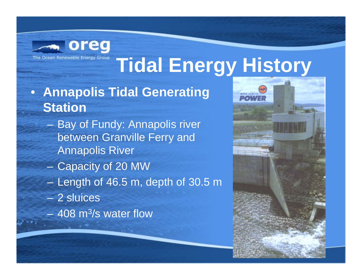

- **Annapolis Tidal Generating Station**
	- Bay of Fundy: Annapolis river between Granville Ferry and Annapolis River
	- Capacity of 20 MW
	- Length of 46.5 m, depth of 30.5 m
	- 2 sluices
	- $-$  408 m $^{3}\!$ /s water flow

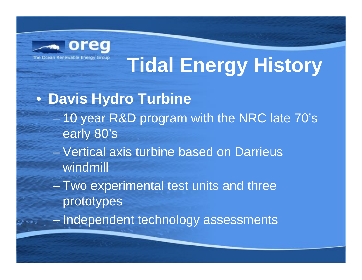

#### • **Davis Hydro Turbine**

- 10 year R&D program with the NRC late 70's early 80's
- Vertical axis turbine based on Darrieus windmill
- – Two experimental test units and three prototypes
- –Independent technology assessments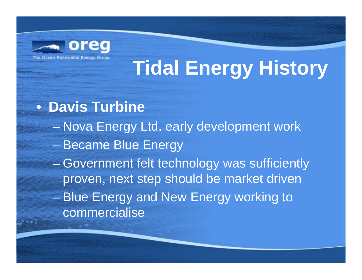

• **Davis Turbine** Nova Energy Ltd. early development work Became Blue Energy en al control de la control de Government felt technology was sufficiently proven, next step should be market driven – Blue Energy and New Energy working to commercialise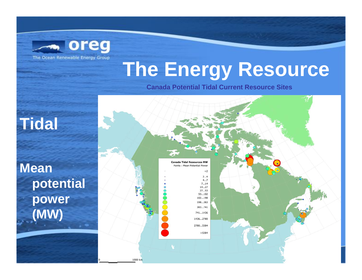

### **The Energy Resource**

**Canada Potential Tidal Current Resource Sites**

#### **Tidal**

**Mean potential power (MW)**

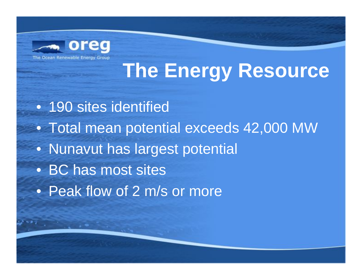

### **The Energy Resource**

• 190 sites identified • Total mean potential exceeds 42,000 MW • Nunavut has largest potential • BC has most sites • Peak flow of 2 m/s or more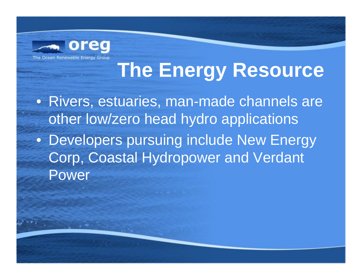

### **The Energy Resource**

• Rivers, estuaries, man-made channels are other low/zero head hydro applications • Developers pursuing include New Energy Corp, Coastal Hydropower and Verdant Power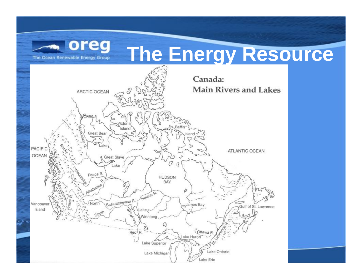

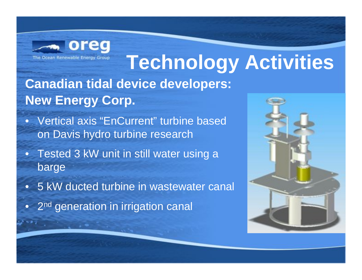

**Canadian tidal device developers: New Energy Corp.** 

- Vertical axis "EnCurrent" turbine based on Davis hydro turbine research
- Tested 3 kW unit in still water using a barge
- $\bullet$ 5 kW ducted turbine in wastewater canal
- $\bullet$ 2<sup>nd</sup> generation in irrigation canal

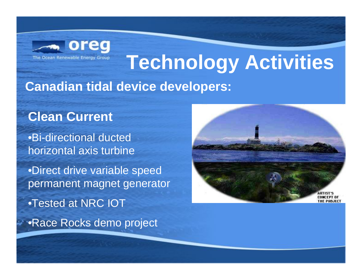

**Canadian tidal device developers:**

#### **Clean Current**

•Bi-directional ducted horizontal axis turbine

•Direct drive variable speed permanent magnet generator •Tested at NRC IOT •Race Rocks demo project

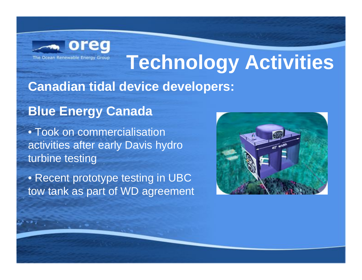

#### **Canadian tidal device developers:**

#### **Blue Energy Canada**

• Took on commercialisation activities after early Davis hydro turbine testing

• Recent prototype testing in UBC tow tank as part of WD agreement

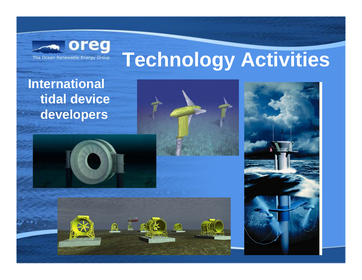

**International tidal device developers**







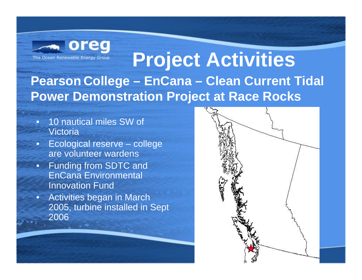

#### **Project Activities Pearson College – EnCana – Clean Current Tidal Power Demonstration Project at Race Rocks**

- • 10 nautical miles SW of Victoria
- • Ecological reserve – college are volunteer wardens
- • Funding from SDTC and EnCana Environmental Innovation Fund
- Activities began in March 2005, turbine installed in Sept 2006

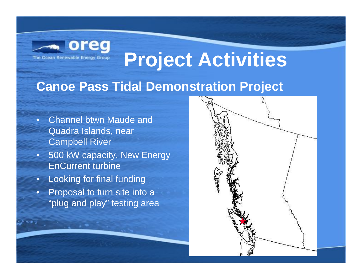

#### **Canoe Pass Tidal Demonstration Project**

- • Channel btwn Maude and Quadra Islands, near Campbell River
- • 500 kW capacity, New Energy EnCurrent turbine
- $\bullet$ Looking for final funding
- • Proposal to turn site into a "plug and play" testing area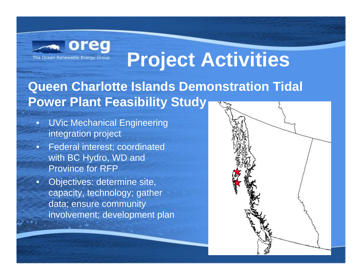

#### **Queen Charlotte Islands Demonstration Tidal Power Plant Feasibility Study**

- • UVic Mechanical Engineering integration project
- Federal interest; coordinated with BC Hydro, WD and Province for RFP
- Objectives: determine site, capacity, technology; gather data; ensure community involvement; development plan

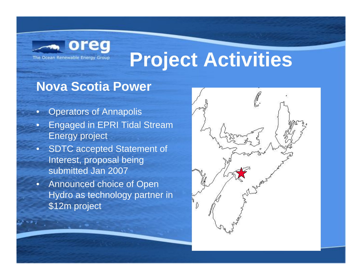

#### **Nova Scotia Power**

- •Operators of Annapolis
- • Engaged in EPRI Tidal Stream Energy project
- SDTC accepted Statement of Interest, proposal being submitted Jan 2007
- • Announced choice of Open Hydro as technology partner in \$12m project

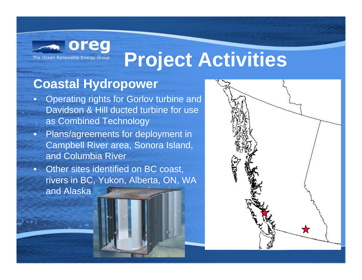

#### **Coastal Hydropower**

- $\bullet$  Operating rights for Gorlov turbine and Davidson & Hill ducted turbine for use as Combined Technology
- • Plans/agreements for deployment in Campbell River area, Sonora Island, and Columbia River
- • Other sites identified on BC coast, rivers in BC, Yukon, Alberta, ON, WA and Alaska

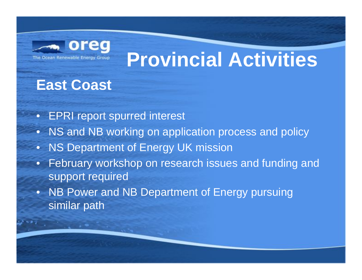

### **Provincial Activities**

#### **East Coast**

- EPRI report spurred interest
- •NS and NB working on application process and policy
- NS Department of Energy UK mission
- • February workshop on research issues and funding and support required
- NB Power and NB Department of Energy pursuing similar path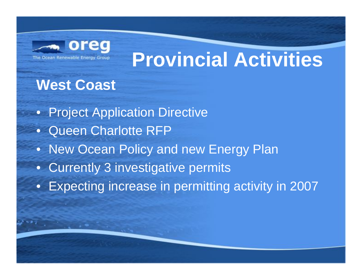

### **Provincial Activities**

#### **West Coast**

• Project Application Directive • Queen Charlotte RFP • New Ocean Policy and new Energy Plan • Currently 3 investigative permits • Expecting increase in permitting activity in 2007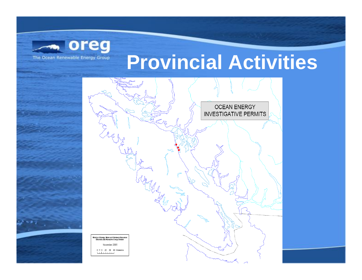

### **Provincial Activities**

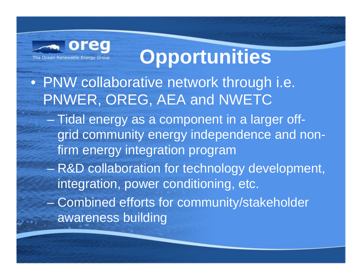

### **Opportunities**

- PNW collaborative network through i.e. PNWER, OREG, AEA and NWETC
	- $\mathcal{L}_{\mathcal{A}}$  , where  $\mathcal{L}_{\mathcal{A}}$  is the set of the set of the set of the set of the set of the set of the set of the set of the set of the set of the set of the set of the set of the set of the set of the set of the Tidal energy as a component in a larger offgrid community energy independence and nonfirm energy integration program
	- $\mathcal{L}_{\mathcal{A}}$  , where  $\mathcal{L}_{\mathcal{A}}$  is the set of the set of the set of the set of the set of the set of the set of the set of the set of the set of the set of the set of the set of the set of the set of the set of the R&D collaboration for technology development, integration, power conditioning, etc.
	- $\mathcal{L}_{\mathcal{A}}$  Combined efforts for community/stakeholder awareness building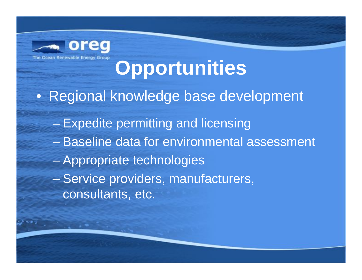

### **Opportunities**

• Regional knowledge base development

- Expedite permitting and licensing
- Baseline data for environmental assessment
- en al control de la control de Appropriate technologies
- –Service providers, manufacturers, consultants, etc.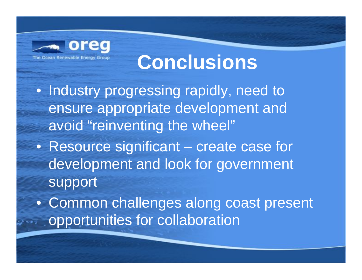

### **Conclusions**

- Industry progressing rapidly, need to ensure appropriate development and avoid "reinventing the wheel"
- Resource significant create case for development and look for government support
- Common challenges along coast present opportunities for collaboration